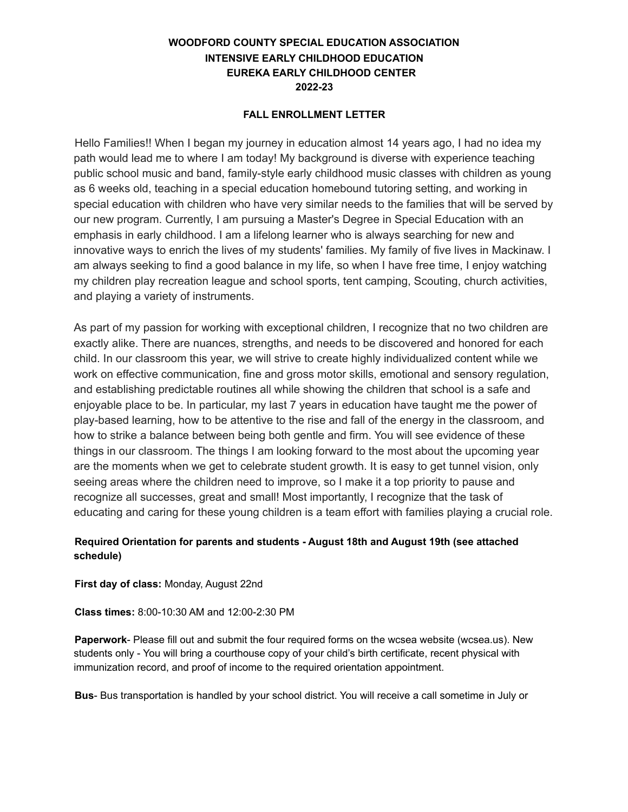## **WOODFORD COUNTY SPECIAL EDUCATION ASSOCIATION INTENSIVE EARLY CHILDHOOD EDUCATION EUREKA EARLY CHILDHOOD CENTER 2022-23**

## **FALL ENROLLMENT LETTER**

Hello Families!! When I began my journey in education almost 14 years ago, I had no idea my path would lead me to where I am today! My background is diverse with experience teaching public school music and band, family-style early childhood music classes with children as young as 6 weeks old, teaching in a special education homebound tutoring setting, and working in special education with children who have very similar needs to the families that will be served by our new program. Currently, I am pursuing a Master's Degree in Special Education with an emphasis in early childhood. I am a lifelong learner who is always searching for new and innovative ways to enrich the lives of my students' families. My family of five lives in Mackinaw. I am always seeking to find a good balance in my life, so when I have free time, I enjoy watching my children play recreation league and school sports, tent camping, Scouting, church activities, and playing a variety of instruments.

As part of my passion for working with exceptional children, I recognize that no two children are exactly alike. There are nuances, strengths, and needs to be discovered and honored for each child. In our classroom this year, we will strive to create highly individualized content while we work on effective communication, fine and gross motor skills, emotional and sensory regulation, and establishing predictable routines all while showing the children that school is a safe and enjoyable place to be. In particular, my last 7 years in education have taught me the power of play-based learning, how to be attentive to the rise and fall of the energy in the classroom, and how to strike a balance between being both gentle and firm. You will see evidence of these things in our classroom. The things I am looking forward to the most about the upcoming year are the moments when we get to celebrate student growth. It is easy to get tunnel vision, only seeing areas where the children need to improve, so I make it a top priority to pause and recognize all successes, great and small! Most importantly, I recognize that the task of educating and caring for these young children is a team effort with families playing a crucial role.

## **Required Orientation for parents and students - August 18th and August 19th (see attached schedule)**

**First day of class:** Monday, August 22nd

**Class times:** 8:00-10:30 AM and 12:00-2:30 PM

**Paperwork**- Please fill out and submit the four required forms on the wcsea website (wcsea.us). New students only - You will bring a courthouse copy of your child's birth certificate, recent physical with immunization record, and proof of income to the required orientation appointment.

**Bus**- Bus transportation is handled by your school district. You will receive a call sometime in July or